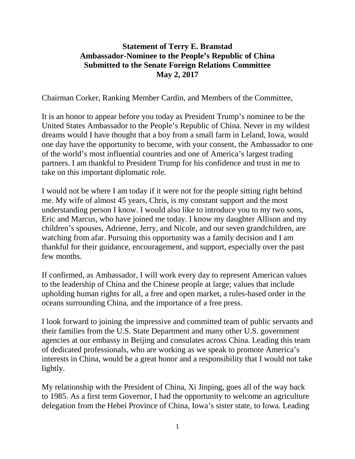## **Statement of Terry E. Branstad Ambassador-Nominee to the People's Republic of China Submitted to the Senate Foreign Relations Committee May 2, 2017**

Chairman Corker, Ranking Member Cardin, and Members of the Committee,

It is an honor to appear before you today as President Trump's nominee to be the United States Ambassador to the People's Republic of China. Never in my wildest dreams would I have thought that a boy from a small farm in Leland, Iowa, would one day have the opportunity to become, with your consent, the Ambassador to one of the world's most influential countries and one of America's largest trading partners. I am thankful to President Trump for his confidence and trust in me to take on this important diplomatic role.

I would not be where I am today if it were not for the people sitting right behind me. My wife of almost 45 years, Chris, is my constant support and the most understanding person I know. I would also like to introduce you to my two sons, Eric and Marcus, who have joined me today. I know my daughter Allison and my children's spouses, Adrienne, Jerry, and Nicole, and our seven grandchildren, are watching from afar. Pursuing this opportunity was a family decision and I am thankful for their guidance, encouragement, and support, especially over the past few months.

If confirmed, as Ambassador, I will work every day to represent American values to the leadership of China and the Chinese people at large; values that include upholding human rights for all, a free and open market, a rules-based order in the oceans surrounding China, and the importance of a free press.

I look forward to joining the impressive and committed team of public servants and their families from the U.S. State Department and many other U.S. government agencies at our embassy in Beijing and consulates across China. Leading this team of dedicated professionals, who are working as we speak to promote America's interests in China, would be a great honor and a responsibility that I would not take lightly.

My relationship with the President of China, Xi Jinping, goes all of the way back to 1985. As a first term Governor, I had the opportunity to welcome an agriculture delegation from the Hebei Province of China, Iowa's sister state, to Iowa. Leading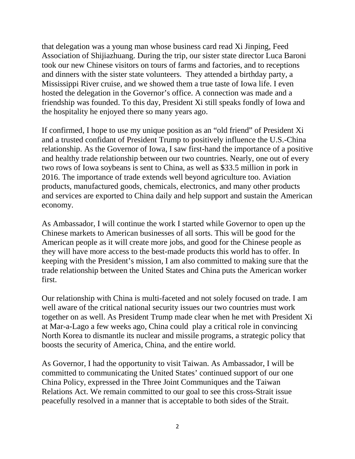that delegation was a young man whose business card read Xi Jinping, Feed Association of Shijiazhuang. During the trip, our sister state director Luca Baroni took our new Chinese visitors on tours of farms and factories, and to receptions and dinners with the sister state volunteers. They attended a birthday party, a Mississippi River cruise, and we showed them a true taste of Iowa life. I even hosted the delegation in the Governor's office. A connection was made and a friendship was founded. To this day, President Xi still speaks fondly of Iowa and the hospitality he enjoyed there so many years ago.

If confirmed, I hope to use my unique position as an "old friend" of President Xi and a trusted confidant of President Trump to positively influence the U.S.-China relationship. As the Governor of Iowa, I saw first-hand the importance of a positive and healthy trade relationship between our two countries. Nearly, one out of every two rows of Iowa soybeans is sent to China, as well as \$33.5 million in pork in 2016. The importance of trade extends well beyond agriculture too. Aviation products, manufactured goods, chemicals, electronics, and many other products and services are exported to China daily and help support and sustain the American economy.

As Ambassador, I will continue the work I started while Governor to open up the Chinese markets to American businesses of all sorts. This will be good for the American people as it will create more jobs, and good for the Chinese people as they will have more access to the best-made products this world has to offer. In keeping with the President's mission, I am also committed to making sure that the trade relationship between the United States and China puts the American worker first.

Our relationship with China is multi-faceted and not solely focused on trade. I am well aware of the critical national security issues our two countries must work together on as well. As President Trump made clear when he met with President Xi at Mar-a-Lago a few weeks ago, China could play a critical role in convincing North Korea to dismantle its nuclear and missile programs, a strategic policy that boosts the security of America, China, and the entire world.

As Governor, I had the opportunity to visit Taiwan. As Ambassador, I will be committed to communicating the United States' continued support of our one China Policy, expressed in the Three Joint Communiques and the Taiwan Relations Act. We remain committed to our goal to see this cross-Strait issue peacefully resolved in a manner that is acceptable to both sides of the Strait.